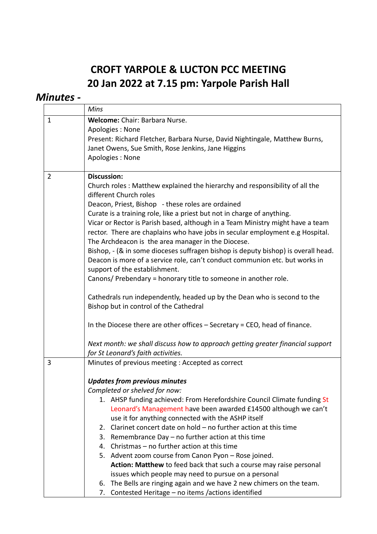## **CROFT YARPOLE & LUCTON PCC MEETING 20 Jan 2022 at 7.15 pm: Yarpole Parish Hall**

## *Minutes -*

|                | Mins                                                                              |
|----------------|-----------------------------------------------------------------------------------|
| $\mathbf{1}$   | Welcome: Chair: Barbara Nurse.                                                    |
|                | Apologies: None                                                                   |
|                | Present: Richard Fletcher, Barbara Nurse, David Nightingale, Matthew Burns,       |
|                | Janet Owens, Sue Smith, Rose Jenkins, Jane Higgins                                |
|                | Apologies: None                                                                   |
|                |                                                                                   |
| $\overline{2}$ | <b>Discussion:</b>                                                                |
|                | Church roles: Matthew explained the hierarchy and responsibility of all the       |
|                | different Church roles                                                            |
|                | Deacon, Priest, Bishop - these roles are ordained                                 |
|                | Curate is a training role, like a priest but not in charge of anything.           |
|                | Vicar or Rector is Parish based, although in a Team Ministry might have a team    |
|                | rector. There are chaplains who have jobs in secular employment e.g Hospital.     |
|                | The Archdeacon is the area manager in the Diocese.                                |
|                | Bishop, - (& in some dioceses suffragen bishop is deputy bishop) is overall head. |
|                | Deacon is more of a service role, can't conduct communion etc. but works in       |
|                | support of the establishment.                                                     |
|                | Canons/ Prebendary = honorary title to someone in another role.                   |
|                | Cathedrals run independently, headed up by the Dean who is second to the          |
|                | Bishop but in control of the Cathedral                                            |
|                | In the Diocese there are other offices $-$ Secretary = CEO, head of finance.      |
|                | Next month: we shall discuss how to approach getting greater financial support    |
|                | for St Leonard's faith activities.                                                |
| 3              | Minutes of previous meeting : Accepted as correct                                 |
|                |                                                                                   |
|                | <b>Updates from previous minutes</b>                                              |
|                | Completed or shelved for now:                                                     |
|                | 1. AHSP funding achieved: From Herefordshire Council Climate funding St           |
|                | Leonard's Management have been awarded £14500 although we can't                   |
|                | use it for anything connected with the ASHP itself                                |
|                | Clarinet concert date on hold - no further action at this time<br>2.              |
|                | Remembrance Day - no further action at this time<br>3.                            |
|                | Christmas - no further action at this time<br>4.                                  |
|                | 5. Advent zoom course from Canon Pyon - Rose joined.                              |
|                | Action: Matthew to feed back that such a course may raise personal                |
|                | issues which people may need to pursue on a personal                              |
|                | The Bells are ringing again and we have 2 new chimers on the team.<br>6.          |
|                | Contested Heritage - no items /actions identified<br>7.                           |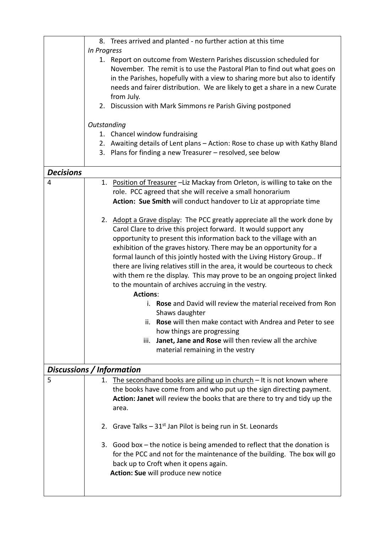|                  | 8. Trees arrived and planted - no further action at this time                                                                             |
|------------------|-------------------------------------------------------------------------------------------------------------------------------------------|
|                  | In Progress                                                                                                                               |
|                  | 1. Report on outcome from Western Parishes discussion scheduled for                                                                       |
|                  | November. The remit is to use the Pastoral Plan to find out what goes on                                                                  |
|                  | in the Parishes, hopefully with a view to sharing more but also to identify                                                               |
|                  | needs and fairer distribution. We are likely to get a share in a new Curate                                                               |
|                  | from July.                                                                                                                                |
|                  | 2. Discussion with Mark Simmons re Parish Giving postponed                                                                                |
|                  | Outstanding                                                                                                                               |
|                  | 1. Chancel window fundraising                                                                                                             |
|                  | 2. Awaiting details of Lent plans - Action: Rose to chase up with Kathy Bland                                                             |
|                  | 3. Plans for finding a new Treasurer - resolved, see below                                                                                |
|                  |                                                                                                                                           |
| <b>Decisions</b> |                                                                                                                                           |
| 4                | 1. Position of Treasurer -Liz Mackay from Orleton, is willing to take on the<br>role. PCC agreed that she will receive a small honorarium |
|                  |                                                                                                                                           |
|                  | Action: Sue Smith will conduct handover to Liz at appropriate time                                                                        |
|                  | 2. Adopt a Grave display: The PCC greatly appreciate all the work done by                                                                 |
|                  | Carol Clare to drive this project forward. It would support any                                                                           |
|                  | opportunity to present this information back to the village with an                                                                       |
|                  | exhibition of the graves history. There may be an opportunity for a                                                                       |
|                  | formal launch of this jointly hosted with the Living History Group If                                                                     |
|                  | there are living relatives still in the area, it would be courteous to check                                                              |
|                  |                                                                                                                                           |
|                  | with them re the display. This may prove to be an ongoing project linked                                                                  |
|                  | to the mountain of archives accruing in the vestry.<br><b>Actions:</b>                                                                    |
|                  |                                                                                                                                           |
|                  | i. Rose and David will review the material received from Ron                                                                              |
|                  | Shaws daughter                                                                                                                            |
|                  | ii. Rose will then make contact with Andrea and Peter to see                                                                              |
|                  | how things are progressing                                                                                                                |
|                  | Janet, Jane and Rose will then review all the archive<br>iii.                                                                             |
|                  | material remaining in the vestry                                                                                                          |
|                  | Discussions / Information                                                                                                                 |
| 5                | 1. The secondhand books are piling up in church - It is not known where                                                                   |
|                  | the books have come from and who put up the sign directing payment.                                                                       |
|                  | Action: Janet will review the books that are there to try and tidy up the                                                                 |
|                  | area.                                                                                                                                     |
|                  |                                                                                                                                           |
|                  | 2. Grave Talks $-31st$ Jan Pilot is being run in St. Leonards                                                                             |
|                  | 3. Good box $-$ the notice is being amended to reflect that the donation is                                                               |
|                  | for the PCC and not for the maintenance of the building. The box will go                                                                  |
|                  | back up to Croft when it opens again.                                                                                                     |
|                  | Action: Sue will produce new notice                                                                                                       |
|                  |                                                                                                                                           |
|                  |                                                                                                                                           |